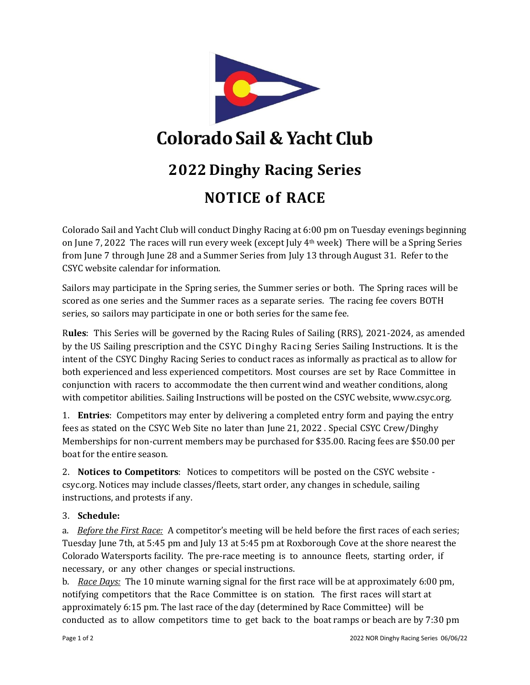

Colorado Sail and Yacht Club will conduct Dinghy Racing at 6:00 pm on Tuesday evenings beginning on June 7, 2022 The races will run every week (except July 4th week) There will be a Spring Series from June 7 through June 28 and a Summer Series from July 13 through August 31. Refer to the CSYC website calendar for information.

Sailors may participate in the Spring series, the Summer series or both. The Spring races will be scored as one series and the Summer races as a separate series. The racing fee covers BOTH series, so sailors may participate in one or both series for the same fee.

R**ules**: This Series will be governed by the Racing Rules of Sailing (RRS), 2021-2024, as amended by the US Sailing prescription and the CSYC Dinghy Racing Series Sailing Instructions. It is the intent of the CSYC Dinghy Racing Series to conduct races as informally as practical as to allow for both experienced and less experienced competitors. Most courses are set by Race Committee in conjunction with racers to accommodate the then current wind and weather conditions, along with competitor abilities. Sailing Instructions will be posted on the CSYC website, [www.csyc.org.](http://www.csyc.org/)

1. **Entries**: Competitors may enter by delivering a completed entry form and paying the entry fees as stated on the CSYC Web Site no later than June 21, 2022 . Special CSYC Crew/Dinghy Memberships for non-current members may be purchased for \$35.00. Racing fees are \$50.00 per boat for the entire season.

2. **Notices to Competitors**: Notices to competitors will be posted on the CSYC website csyc.org. Notices may include classes/fleets, start order, any changes in schedule, sailing instructions, and protests if any.

## 3. **Schedule:**

a. *Before the First Race:* A competitor's meeting will be held before the first races of each series; Tuesday June 7th, at 5:45 pm and July 13 at 5:45 pm at Roxborough Cove at the shore nearest the Colorado Watersports facility. The pre-race meeting is to announce fleets, starting order, if necessary, or any other changes or special instructions.

b. *Race Days:* The 10 minute warning signal for the first race will be at approximately 6:00 pm, notifying competitors that the Race Committee is on station. The first races will start at approximately 6:15 pm. The last race of the day (determined by Race Committee) will be conducted as to allow competitors time to get back to the boat ramps or beach are by 7:30 pm